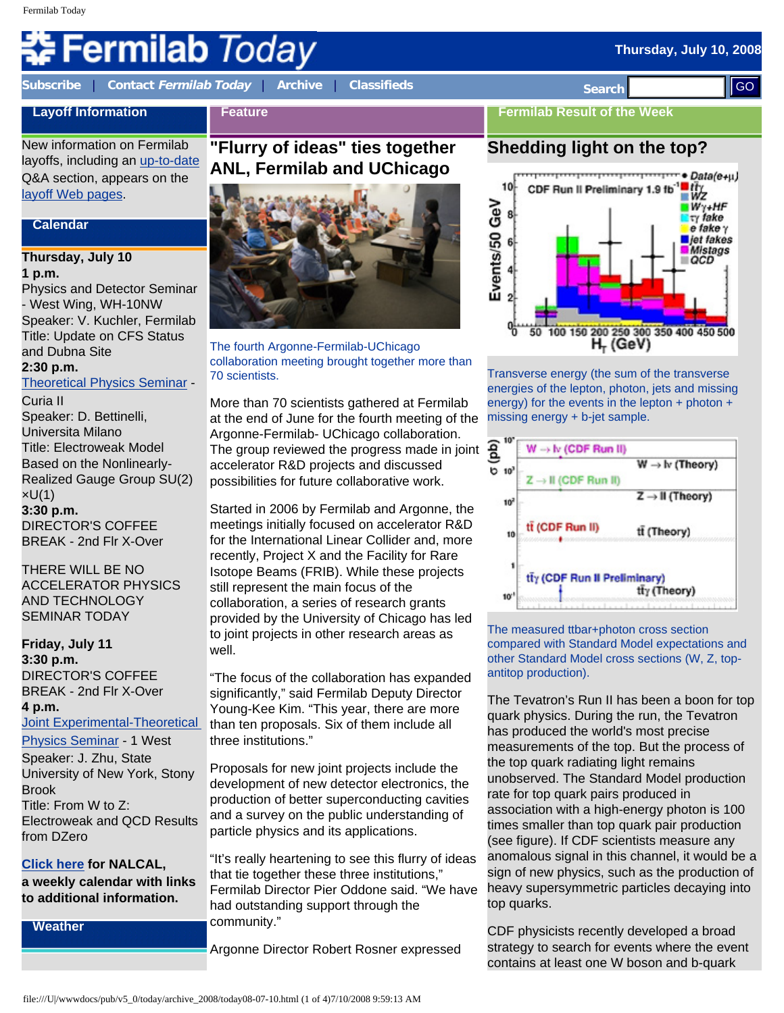# **Fermilab** *Today*

**[Subscribe](http://www.fnal.gov/pub/today/subscription.html)** | **Contact [Fermilab Today](mailto:today@fnal.gov)** | **[Archive](http://www.fnal.gov/pub/today/archive.html)** | **[Classifieds](http://www.fnal.gov/pub/today/classifieds.html) Search** 

**Thursday, July 10, 2008** 

#### **Layoff Information Feature**

New information on Fermilab layoffs, including an [up-to-date](http://www.fnal.gov/faw/layoffs/q_and_a.html) Q&A section, appears on the [layoff Web pages.](http://www.fnal.gov/faw/layoffs/)

#### **Calendar**

#### **Thursday, July 10 1 p.m.**

Physics and Detector Seminar - West Wing, WH-10NW Speaker: V. Kuchler, Fermilab Title: Update on CFS Status and Dubna Site **2:30 p.m.**

# [Theoretical Physics Seminar](http://theory.fnal.gov/seminars/seminars.html) -

Curia II Speaker: D. Bettinelli, Universita Milano Title: Electroweak Model Based on the Nonlinearly-Realized Gauge Group SU(2) ×U(1) **3:30 p.m.**  DIRECTOR'S COFFEE

THERE WILL BE NO ACCELERATOR PHYSICS AND TECHNOLOGY SEMINAR TODAY

BREAK - 2nd Flr X-Over

**Friday, July 11 3:30 p.m.**  DIRECTOR'S COFFEE BREAK - 2nd Flr X-Over **4 p.m.** [Joint Experimental-Theoretical](http://theory.fnal.gov/jetp/)  [Physics Seminar](http://theory.fnal.gov/jetp/) - 1 West

Speaker: J. Zhu, State University of New York, Stony Brook Title: From W to Z: Electroweak and QCD Results from DZero

#### **[Click here](http://www.fnal.gov/directorate/nalcal/nalcal07_07_08.html) for NALCAL,**

**a weekly calendar with links to additional information.**

**Weather**

# **"Flurry of ideas" ties together ANL, Fermilab and UChicago**



The fourth Argonne-Fermilab-UChicago collaboration meeting brought together more than 70 scientists.

More than 70 scientists gathered at Fermilab at the end of June for the fourth meeting of the Argonne-Fermilab- UChicago collaboration. The group reviewed the progress made in joint accelerator R&D projects and discussed possibilities for future collaborative work.

Started in 2006 by Fermilab and Argonne, the meetings initially focused on accelerator R&D for the International Linear Collider and, more recently, Project X and the Facility for Rare Isotope Beams (FRIB). While these projects still represent the main focus of the collaboration, a series of research grants provided by the University of Chicago has led to joint projects in other research areas as well.

"The focus of the collaboration has expanded significantly," said Fermilab Deputy Director Young-Kee Kim. "This year, there are more than ten proposals. Six of them include all three institutions."

Proposals for new joint projects include the development of new detector electronics, the production of better superconducting cavities and a survey on the public understanding of particle physics and its applications.

"It's really heartening to see this flurry of ideas that tie together these three institutions," Fermilab Director Pier Oddone said. "We have had outstanding support through the community."

Argonne Director Robert Rosner expressed

# **Fermilab Result of the Week Shedding light on the top?**



Transverse energy (the sum of the transverse energies of the lepton, photon, jets and missing energy) for the events in the lepton  $+$  photon  $+$ missing energy + b-jet sample.



The measured ttbar+photon cross section compared with Standard Model expectations and other Standard Model cross sections (W, Z, topantitop production).

The Tevatron's Run II has been a boon for top quark physics. During the run, the Tevatron has produced the world's most precise measurements of the top. But the process of the top quark radiating light remains unobserved. The Standard Model production rate for top quark pairs produced in association with a high-energy photon is 100 times smaller than top quark pair production (see figure). If CDF scientists measure any anomalous signal in this channel, it would be a sign of new physics, such as the production of heavy supersymmetric particles decaying into top quarks. **Example, The control of Control of Control of Control of Control of Control of Control of Control of Control of Control of Control of Control of Control of Control of Control of Control of Control of Control of Control o** 

CDF physicists recently developed a broad strategy to search for events where the event contains at least one W boson and b-quark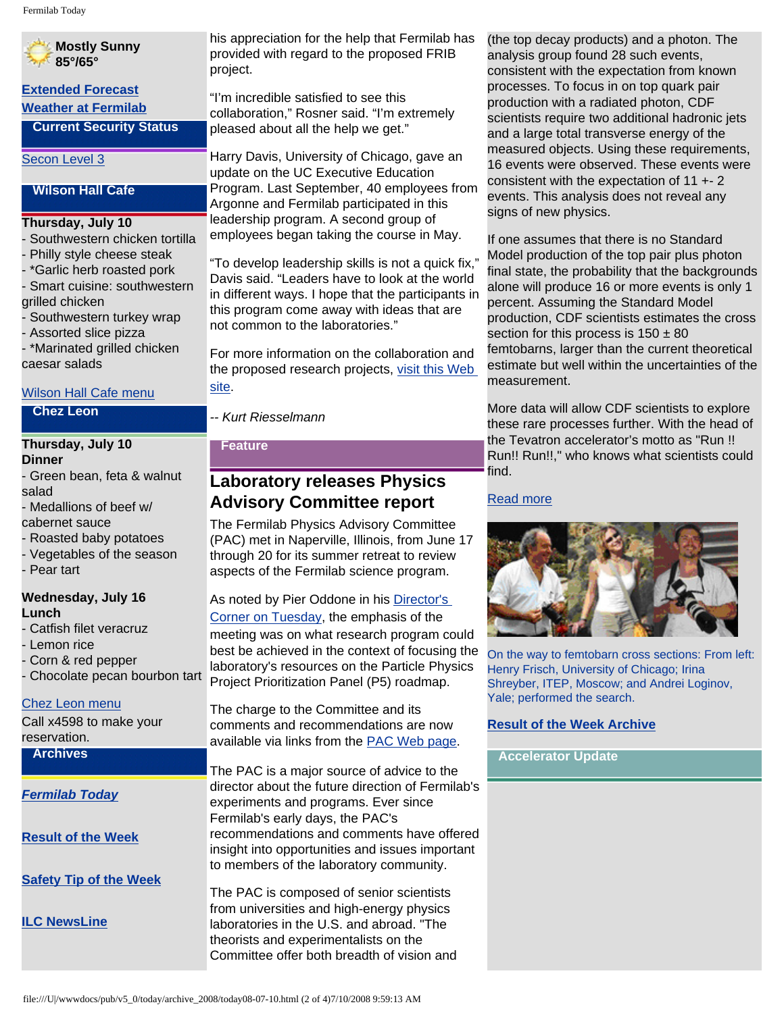### **Mostly Sunny 85°/65° [Extended Forecast](http://forecast.weather.gov/MapClick.php?CityName=Batavia&state=IL&site=LOT) [Weather at Fermilab](http://www-esh.fnal.gov/pls/default/weather.html) Current Security Status** [Secon Level 3](http://www.fnal.gov/pub/about/public_affairs/currentstatus.html) **Wilson Hall Cafe Thursday, July 10**  - Southwestern chicken tortilla - Philly style cheese steak - \*Garlic herb roasted pork - Smart cuisine: southwestern grilled chicken - Southwestern turkey wrap - Assorted slice pizza - \*Marinated grilled chicken caesar salads [Wilson Hall Cafe menu](http://bss.fnal.gov/cafe/index.html) **Chez Leon Thursday, July 10 Dinner** - Green bean, feta & walnut salad - Medallions of beef w/ cabernet sauce - Roasted baby potatoes - Vegetables of the season - Pear tart **Wednesday, July 16 Lunch** - Catfish filet veracruz - Lemon rice - Corn & red pepper - Chocolate pecan bourbon tart [Chez Leon menu](http://bss.fnal.gov/chezleon/index.html) Call x4598 to make your reservation. **Archives** *[Fermilab Today](http://www.fnal.gov/pub/today/archive.html)* **[Result of the Week](http://www.fnal.gov/pub/today/resultoftheweek/index.html)** [site.](http://www.fnal.gov/directorate/ANL-FNAL-Collaboration/meeting-2008-Spring.html)

**[Safety Tip of the Week](http://www.fnal.gov/pub/today/safety/)**

**[ILC NewsLine](http://www.linearcollider.org/newsline/archive/index.html)**

his appreciation for the help that Fermilab has provided with regard to the proposed FRIB project.

"I'm incredible satisfied to see this collaboration," Rosner said. "I'm extremely pleased about all the help we get."

Harry Davis, University of Chicago, gave an update on the UC Executive Education Program. Last September, 40 employees from Argonne and Fermilab participated in this leadership program. A second group of employees began taking the course in May.

"To develop leadership skills is not a quick fix," Davis said. "Leaders have to look at the world in different ways. I hope that the participants in this program come away with ideas that are not common to the laboratories."

For more information on the collaboration and the proposed research projects, [visit this Web](http://www.fnal.gov/directorate/ANL-FNAL-Collaboration/meeting-2008-Spring.html)

*-- Kurt Riesselmann*

#### **Feature**

# **Laboratory releases Physics Advisory Committee report**

The Fermilab Physics Advisory Committee (PAC) met in Naperville, Illinois, from June 17 through 20 for its summer retreat to review aspects of the Fermilab science program.

As noted by Pier Oddone in his [Director's](http://www.fnal.gov/pub/today/archive_2008/today08-07-08.html) [Corner on Tuesday](http://www.fnal.gov/pub/today/archive_2008/today08-07-08.html), the emphasis of the meeting was on what research program could best be achieved in the context of focusing the laboratory's resources on the Particle Physics Project Prioritization Panel (P5) roadmap.

The charge to the Committee and its comments and recommendations are now available via links from the [PAC Web page.](http://www.fnal.gov/directorate/program_planning/phys_adv_com/PACdates.html)

The PAC is a major source of advice to the director about the future direction of Fermilab's experiments and programs. Ever since Fermilab's early days, the PAC's recommendations and comments have offered insight into opportunities and issues important to members of the laboratory community.

The PAC is composed of senior scientists from universities and high-energy physics laboratories in the U.S. and abroad. "The theorists and experimentalists on the Committee offer both breadth of vision and (the top decay products) and a photon. The analysis group found 28 such events, consistent with the expectation from known processes. To focus in on top quark pair production with a radiated photon, CDF scientists require two additional hadronic jets and a large total transverse energy of the measured objects. Using these requirements, 16 events were observed. These events were consistent with the expectation of 11 +- 2 events. This analysis does not reveal any signs of new physics.

If one assumes that there is no Standard Model production of the top pair plus photon final state, the probability that the backgrounds alone will produce 16 or more events is only 1 percent. Assuming the Standard Model production, CDF scientists estimates the cross section for this process is  $150 \pm 80$ femtobarns, larger than the current theoretical estimate but well within the uncertainties of the measurement.

More data will allow CDF scientists to explore these rare processes further. With the head of the Tevatron accelerator's motto as "Run !! Run!! Run!!," who knows what scientists could find.

#### [Read more](http://www-cdf.fnal.gov/physics/exotic/r2a/20080515.ttbargamma/ttg_public_2fb/)



On the way to femtobarn cross sections: From left: Henry Frisch, University of Chicago; Irina Shreyber, ITEP, Moscow; and Andrei Loginov, Yale; performed the search.

#### **[Result of the Week Archive](http://www.fnal.gov/pub/today/resultoftheweek/index.html)**

#### **Accelerator Update**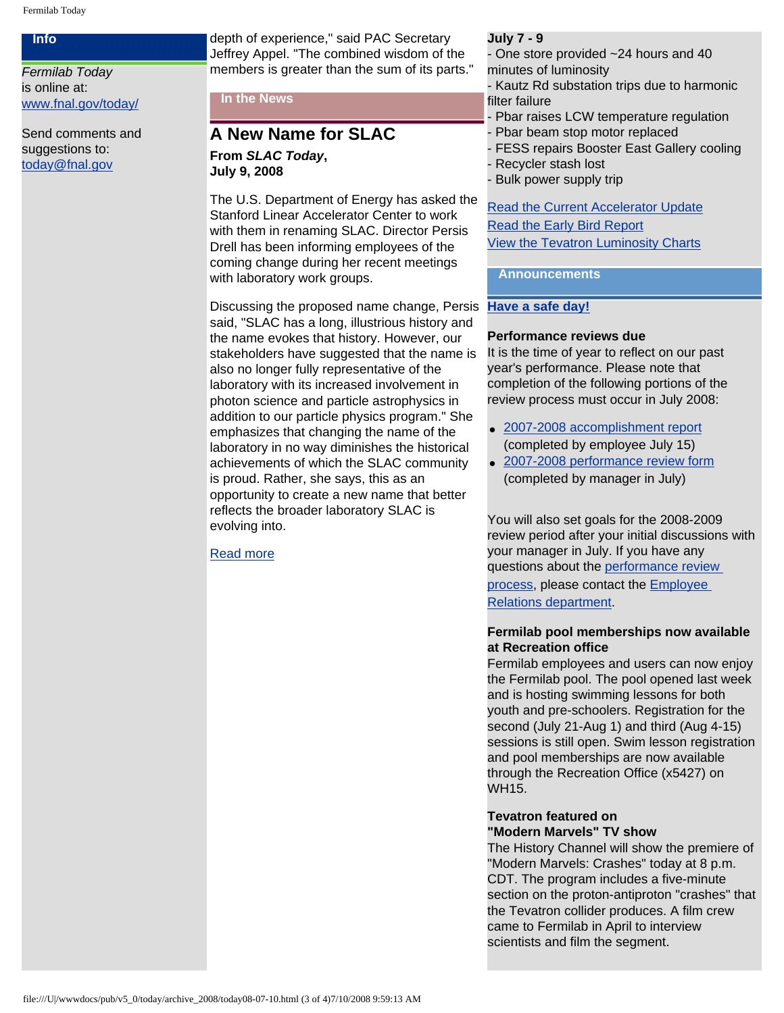#### **Info**

*Fermilab Today* is online at: [www.fnal.gov/today/](http://www.fnal.gov/today/)

Send comments and suggestions to: [today@fnal.gov](mailto:today@fnal.gov)

depth of experience," said PAC Secretary Jeffrey Appel. "The combined wisdom of the members is greater than the sum of its parts."

#### **In the News**

#### **A New Name for SLAC From** *SLAC Today***, July 9, 2008**

The U.S. Department of Energy has asked the Stanford Linear Accelerator Center to work with them in renaming SLAC. Director Persis Drell has been informing employees of the coming change during her recent meetings with laboratory work groups.

Discussing the proposed name change, Persis said, "SLAC has a long, illustrious history and the name evokes that history. However, our stakeholders have suggested that the name is also no longer fully representative of the laboratory with its increased involvement in photon science and particle astrophysics in addition to our particle physics program." She emphasizes that changing the name of the laboratory in no way diminishes the historical achievements of which the SLAC community is proud. Rather, she says, this as an opportunity to create a new name that better reflects the broader laboratory SLAC is evolving into.

[Read more](http://today.slac.stanford.edu/a/2008/07-09.htm)

#### **July 7 - 9**

- One store provided ~24 hours and 40 minutes of luminosity

- Kautz Rd substation trips due to harmonic filter failure
- Pbar raises LCW temperature regulation
- Pbar beam stop motor replaced
- FESS repairs Booster East Gallery cooling
- Recycler stash lost
- Bulk power supply trip

#### [Read the Current Accelerator Update](http://www.fnal.gov/pub/news08/update.html) [Read the Early Bird Report](http://www-bd.fnal.gov/earlybird/ebird.html) [View the Tevatron Luminosity Charts](http://www.fnal.gov/pub/now/tevlum.html)

#### **Announcements**

#### **[Have a safe day!](http://www.fnal.gov/pub/about/safety/profiles.html)**

#### **Performance reviews due**

It is the time of year to reflect on our past year's performance. Please note that completion of the following portions of the review process must occur in July 2008:

- [2007-2008 accomplishment report](http://wdrs.fnal.gov/elr/employee_ar_04.doc) (completed by employee July 15)
- [2007-2008 performance review form](http://wdrs.fnal.gov/elr/perfrev_07.doc) (completed by manager in July)

You will also set goals for the 2008-2009 review period after your initial discussions with your manager in July. If you have any questions about the [performance review](http://wdrs.fnal.gov/elr/perform_rev.html) [process,](http://wdrs.fnal.gov/elr/perform_rev.html) please contact the **[Employee](http://wdrs.fnal.gov/elr/org_chart.html)** [Relations department.](http://wdrs.fnal.gov/elr/org_chart.html)

#### **Fermilab pool memberships now available at Recreation office**

Fermilab employees and users can now enjoy the Fermilab pool. The pool opened last week and is hosting swimming lessons for both youth and pre-schoolers. Registration for the second (July 21-Aug 1) and third (Aug 4-15) sessions is still open. Swim lesson registration and pool memberships are now available through the Recreation Office (x5427) on WH15.

#### **Tevatron featured on "Modern Marvels" TV show**

The History Channel will show the premiere of "Modern Marvels: Crashes" today at 8 p.m. CDT. The program includes a five-minute section on the proton-antiproton "crashes" that the Tevatron collider produces. A film crew came to Fermilab in April to interview scientists and film the segment.